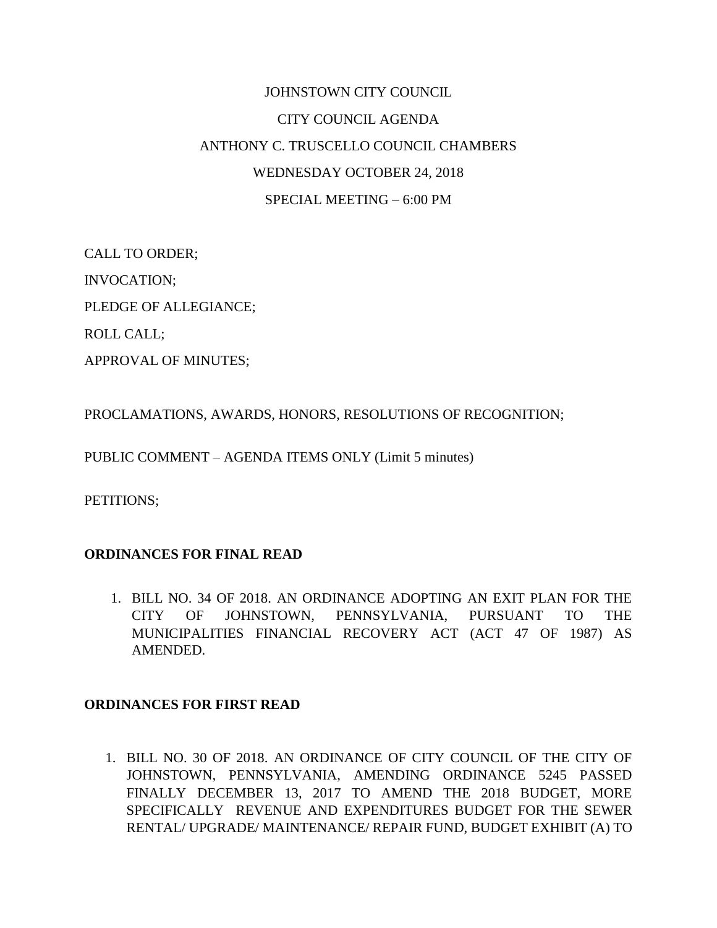## JOHNSTOWN CITY COUNCIL CITY COUNCIL AGENDA ANTHONY C. TRUSCELLO COUNCIL CHAMBERS WEDNESDAY OCTOBER 24, 2018 SPECIAL MEETING – 6:00 PM

CALL TO ORDER; INVOCATION; PLEDGE OF ALLEGIANCE; ROLL CALL;

APPROVAL OF MINUTES;

PROCLAMATIONS, AWARDS, HONORS, RESOLUTIONS OF RECOGNITION;

PUBLIC COMMENT – AGENDA ITEMS ONLY (Limit 5 minutes)

PETITIONS;

## **ORDINANCES FOR FINAL READ**

1. BILL NO. 34 OF 2018. AN ORDINANCE ADOPTING AN EXIT PLAN FOR THE CITY OF JOHNSTOWN, PENNSYLVANIA, PURSUANT TO THE MUNICIPALITIES FINANCIAL RECOVERY ACT (ACT 47 OF 1987) AS AMENDED.

## **ORDINANCES FOR FIRST READ**

1. BILL NO. 30 OF 2018. AN ORDINANCE OF CITY COUNCIL OF THE CITY OF JOHNSTOWN, PENNSYLVANIA, AMENDING ORDINANCE 5245 PASSED FINALLY DECEMBER 13, 2017 TO AMEND THE 2018 BUDGET, MORE SPECIFICALLY REVENUE AND EXPENDITURES BUDGET FOR THE SEWER RENTAL/ UPGRADE/ MAINTENANCE/ REPAIR FUND, BUDGET EXHIBIT (A) TO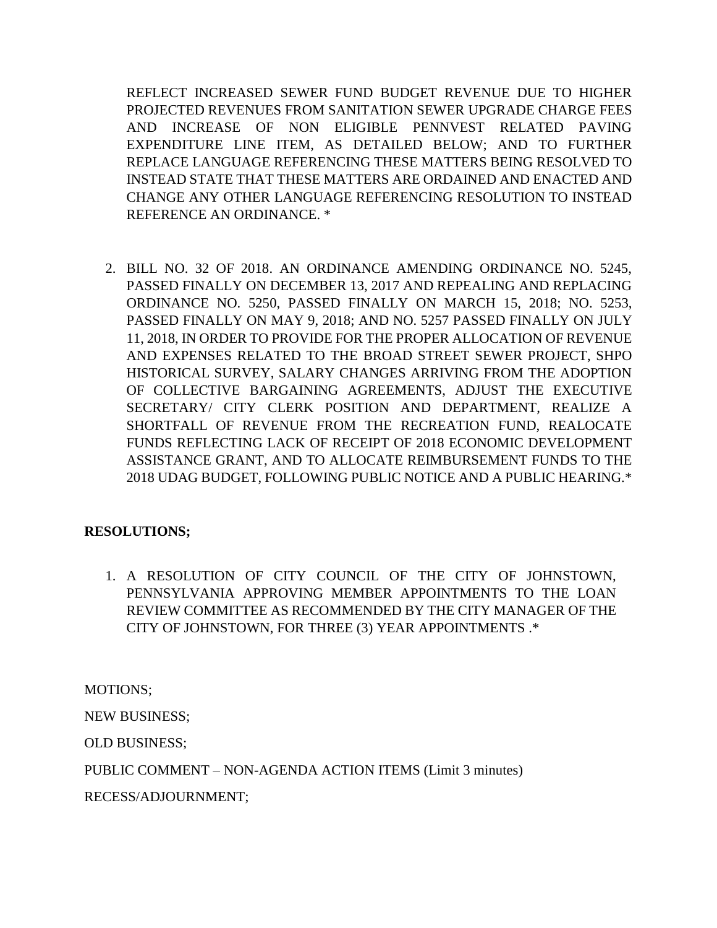REFLECT INCREASED SEWER FUND BUDGET REVENUE DUE TO HIGHER PROJECTED REVENUES FROM SANITATION SEWER UPGRADE CHARGE FEES AND INCREASE OF NON ELIGIBLE PENNVEST RELATED PAVING EXPENDITURE LINE ITEM, AS DETAILED BELOW; AND TO FURTHER REPLACE LANGUAGE REFERENCING THESE MATTERS BEING RESOLVED TO INSTEAD STATE THAT THESE MATTERS ARE ORDAINED AND ENACTED AND CHANGE ANY OTHER LANGUAGE REFERENCING RESOLUTION TO INSTEAD REFERENCE AN ORDINANCE. \*

2. BILL NO. 32 OF 2018. AN ORDINANCE AMENDING ORDINANCE NO. 5245, PASSED FINALLY ON DECEMBER 13, 2017 AND REPEALING AND REPLACING ORDINANCE NO. 5250, PASSED FINALLY ON MARCH 15, 2018; NO. 5253, PASSED FINALLY ON MAY 9, 2018; AND NO. 5257 PASSED FINALLY ON JULY 11, 2018, IN ORDER TO PROVIDE FOR THE PROPER ALLOCATION OF REVENUE AND EXPENSES RELATED TO THE BROAD STREET SEWER PROJECT, SHPO HISTORICAL SURVEY, SALARY CHANGES ARRIVING FROM THE ADOPTION OF COLLECTIVE BARGAINING AGREEMENTS, ADJUST THE EXECUTIVE SECRETARY/ CITY CLERK POSITION AND DEPARTMENT, REALIZE A SHORTFALL OF REVENUE FROM THE RECREATION FUND, REALOCATE FUNDS REFLECTING LACK OF RECEIPT OF 2018 ECONOMIC DEVELOPMENT ASSISTANCE GRANT, AND TO ALLOCATE REIMBURSEMENT FUNDS TO THE 2018 UDAG BUDGET, FOLLOWING PUBLIC NOTICE AND A PUBLIC HEARING.\*

## **RESOLUTIONS;**

1. A RESOLUTION OF CITY COUNCIL OF THE CITY OF JOHNSTOWN, PENNSYLVANIA APPROVING MEMBER APPOINTMENTS TO THE LOAN REVIEW COMMITTEE AS RECOMMENDED BY THE CITY MANAGER OF THE CITY OF JOHNSTOWN, FOR THREE (3) YEAR APPOINTMENTS .\*

MOTIONS;

NEW BUSINESS;

OLD BUSINESS;

PUBLIC COMMENT – NON-AGENDA ACTION ITEMS (Limit 3 minutes)

RECESS/ADJOURNMENT;